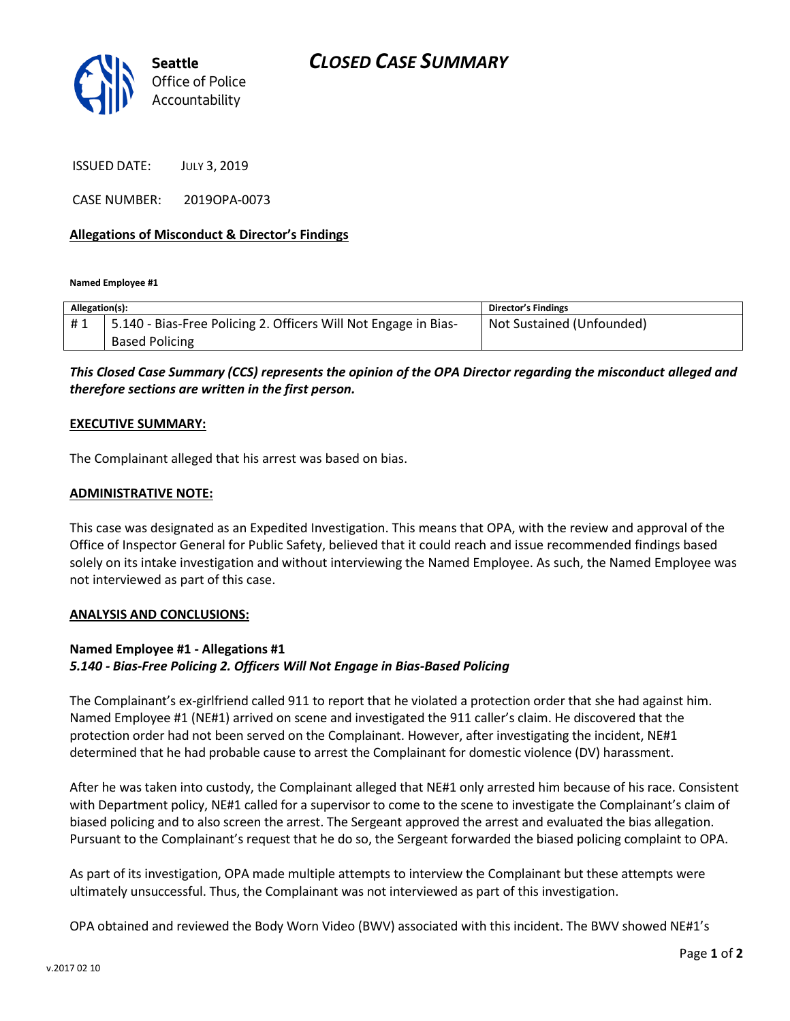

ISSUED DATE: JULY 3, 2019

CASE NUMBER: 2019OPA-0073

### **Allegations of Misconduct & Director's Findings**

**Named Employee #1**

| Allegation(s): |                                                                 | Director's Findings       |
|----------------|-----------------------------------------------------------------|---------------------------|
| #1             | 5.140 - Bias-Free Policing 2. Officers Will Not Engage in Bias- | Not Sustained (Unfounded) |
|                | <b>Based Policing</b>                                           |                           |

*This Closed Case Summary (CCS) represents the opinion of the OPA Director regarding the misconduct alleged and therefore sections are written in the first person.* 

#### **EXECUTIVE SUMMARY:**

The Complainant alleged that his arrest was based on bias.

#### **ADMINISTRATIVE NOTE:**

This case was designated as an Expedited Investigation. This means that OPA, with the review and approval of the Office of Inspector General for Public Safety, believed that it could reach and issue recommended findings based solely on its intake investigation and without interviewing the Named Employee. As such, the Named Employee was not interviewed as part of this case.

#### **ANALYSIS AND CONCLUSIONS:**

## **Named Employee #1 - Allegations #1** *5.140 - Bias-Free Policing 2. Officers Will Not Engage in Bias-Based Policing*

The Complainant's ex-girlfriend called 911 to report that he violated a protection order that she had against him. Named Employee #1 (NE#1) arrived on scene and investigated the 911 caller's claim. He discovered that the protection order had not been served on the Complainant. However, after investigating the incident, NE#1 determined that he had probable cause to arrest the Complainant for domestic violence (DV) harassment.

After he was taken into custody, the Complainant alleged that NE#1 only arrested him because of his race. Consistent with Department policy, NE#1 called for a supervisor to come to the scene to investigate the Complainant's claim of biased policing and to also screen the arrest. The Sergeant approved the arrest and evaluated the bias allegation. Pursuant to the Complainant's request that he do so, the Sergeant forwarded the biased policing complaint to OPA.

As part of its investigation, OPA made multiple attempts to interview the Complainant but these attempts were ultimately unsuccessful. Thus, the Complainant was not interviewed as part of this investigation.

OPA obtained and reviewed the Body Worn Video (BWV) associated with this incident. The BWV showed NE#1's